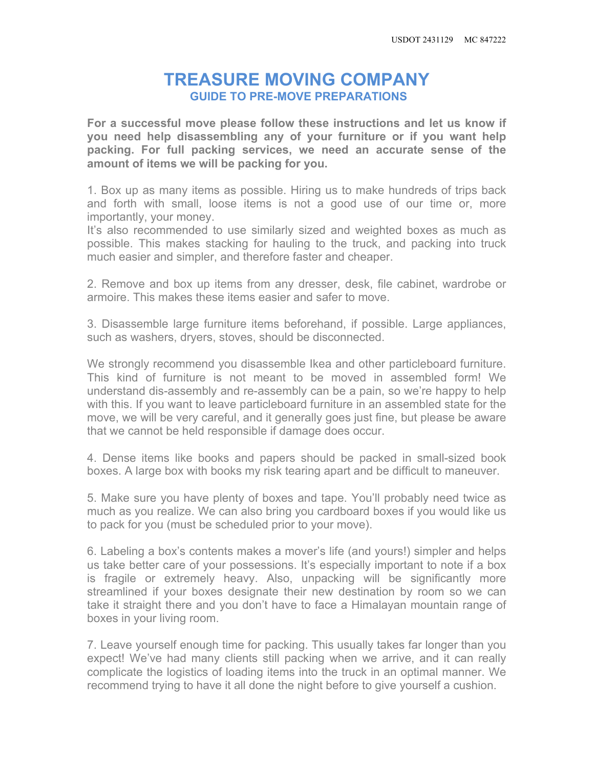## **TREASURE MOVING COMPANY GUIDE TO PRE-MOVE PREPARATIONS**

**For a successful move please follow these instructions and let us know if you need help disassembling any of your furniture or if you want help packing. For full packing services, we need an accurate sense of the amount of items we will be packing for you.**

1. Box up as many items as possible. Hiring us to make hundreds of trips back and forth with small, loose items is not a good use of our time or, more importantly, your money.

It's also recommended to use similarly sized and weighted boxes as much as possible. This makes stacking for hauling to the truck, and packing into truck much easier and simpler, and therefore faster and cheaper.

2. Remove and box up items from any dresser, desk, file cabinet, wardrobe or armoire. This makes these items easier and safer to move.

3. Disassemble large furniture items beforehand, if possible. Large appliances, such as washers, dryers, stoves, should be disconnected.

We strongly recommend you disassemble Ikea and other particleboard furniture. This kind of furniture is not meant to be moved in assembled form! We understand dis-assembly and re-assembly can be a pain, so we're happy to help with this. If you want to leave particleboard furniture in an assembled state for the move, we will be very careful, and it generally goes just fine, but please be aware that we cannot be held responsible if damage does occur.

4. Dense items like books and papers should be packed in small-sized book boxes. A large box with books my risk tearing apart and be difficult to maneuver.

5. Make sure you have plenty of boxes and tape. You'll probably need twice as much as you realize. We can also bring you cardboard boxes if you would like us to pack for you (must be scheduled prior to your move).

6. Labeling a box's contents makes a mover's life (and yours!) simpler and helps us take better care of your possessions. It's especially important to note if a box is fragile or extremely heavy. Also, unpacking will be significantly more streamlined if your boxes designate their new destination by room so we can take it straight there and you don't have to face a Himalayan mountain range of boxes in your living room.

7. Leave yourself enough time for packing. This usually takes far longer than you expect! We've had many clients still packing when we arrive, and it can really complicate the logistics of loading items into the truck in an optimal manner. We recommend trying to have it all done the night before to give yourself a cushion.